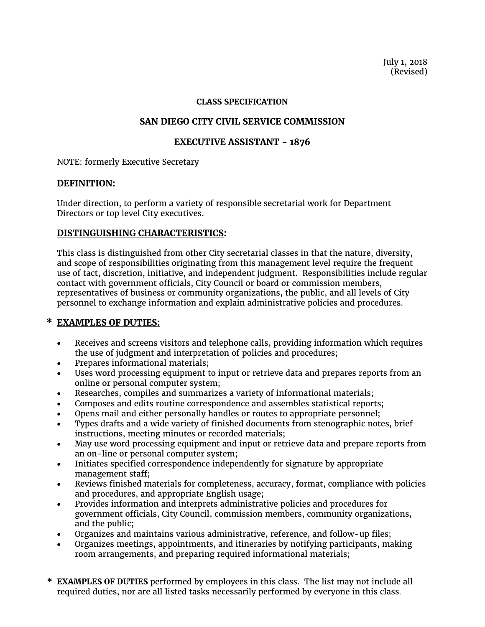July 1, 2018 (Revised)

#### **CLASS SPECIFICATION**

## **SAN DIEGO CITY CIVIL SERVICE COMMISSION**

## **EXECUTIVE ASSISTANT - 1876**

NOTE: formerly Executive Secretary

### **DEFINITION:**

Under direction, to perform a variety of responsible secretarial work for Department Directors or top level City executives.

## **DISTINGUISHING CHARACTERISTICS:**

This class is distinguished from other City secretarial classes in that the nature, diversity, and scope of responsibilities originating from this management level require the frequent use of tact, discretion, initiative, and independent judgment. Responsibilities include regular contact with government officials, City Council or board or commission members, representatives of business or community organizations, the public, and all levels of City personnel to exchange information and explain administrative policies and procedures.

# **\* EXAMPLES OF DUTIES:**

- Receives and screens visitors and telephone calls, providing information which requires the use of judgment and interpretation of policies and procedures;
- Prepares informational materials;
- Uses word processing equipment to input or retrieve data and prepares reports from an online or personal computer system;
- Researches, compiles and summarizes a variety of informational materials;
- Composes and edits routine correspondence and assembles statistical reports;
- Opens mail and either personally handles or routes to appropriate personnel;
- Types drafts and a wide variety of finished documents from stenographic notes, brief instructions, meeting minutes or recorded materials;
- May use word processing equipment and input or retrieve data and prepare reports from an on-line or personal computer system;
- Initiates specified correspondence independently for signature by appropriate management staff;
- Reviews finished materials for completeness, accuracy, format, compliance with policies and procedures, and appropriate English usage;
- Provides information and interprets administrative policies and procedures for government officials, City Council, commission members, community organizations, and the public;
- Organizes and maintains various administrative, reference, and follow-up files;
- Organizes meetings, appointments, and itineraries by notifying participants, making room arrangements, and preparing required informational materials;
- **\* EXAMPLES OF DUTIES** performed by employees in this class. The list may not include all required duties, nor are all listed tasks necessarily performed by everyone in this class.